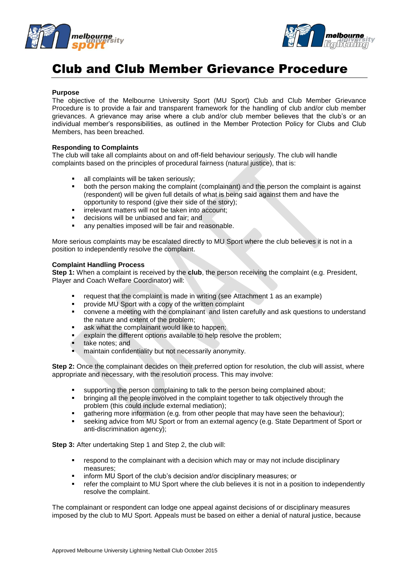



# Club and Club Member Grievance Procedure

#### **Purpose**

The objective of the Melbourne University Sport (MU Sport) Club and Club Member Grievance Procedure is to provide a fair and transparent framework for the handling of club and/or club member grievances. A grievance may arise where a club and/or club member believes that the club's or an individual member's responsibilities, as outlined in the Member Protection Policy for Clubs and Club Members, has been breached.

#### **Responding to Complaints**

The club will take all complaints about on and off-field behaviour seriously. The club will handle complaints based on the principles of procedural fairness (natural justice), that is:

- all complaints will be taken seriously;
- both the person making the complaint (complainant) and the person the complaint is against (respondent) will be given full details of what is being said against them and have the opportunity to respond (give their side of the story);
- **·** irrelevant matters will not be taken into account;
- decisions will be unbiased and fair; and
- any penalties imposed will be fair and reasonable.

More serious complaints may be escalated directly to MU Sport where the club believes it is not in a position to independently resolve the complaint.

#### **Complaint Handling Process**

**Step 1:** When a complaint is received by the **club**, the person receiving the complaint (e.g. President, Player and Coach Welfare Coordinator) will:

- request that the complaint is made in writing (see Attachment 1 as an example)
- **•** provide MU Sport with a copy of the written complaint
- convene a meeting with the complainant and listen carefully and ask questions to understand the nature and extent of the problem;
- **ask what the complainant would like to happen;**
- **EXPLA** explain the different options available to help resolve the problem;
- **take notes; and**
- maintain confidentiality but not necessarily anonymity.

**Step 2:** Once the complainant decides on their preferred option for resolution, the club will assist, where appropriate and necessary, with the resolution process. This may involve:

- supporting the person complaining to talk to the person being complained about;
- **•** bringing all the people involved in the complaint together to talk objectively through the problem (this could include external mediation);
- gathering more information (e.g. from other people that may have seen the behaviour);
- seeking advice from MU Sport or from an external agency (e.g. State Department of Sport or anti-discrimination agency);

**Step 3:** After undertaking Step 1 and Step 2, the club will:

- respond to the complainant with a decision which may or may not include disciplinary measures;
- **EXECT** inform MU Sport of the club's decision and/or disciplinary measures; or
- refer the complaint to MU Sport where the club believes it is not in a position to independently resolve the complaint.

The complainant or respondent can lodge one appeal against decisions of or disciplinary measures imposed by the club to MU Sport. Appeals must be based on either a denial of natural justice, because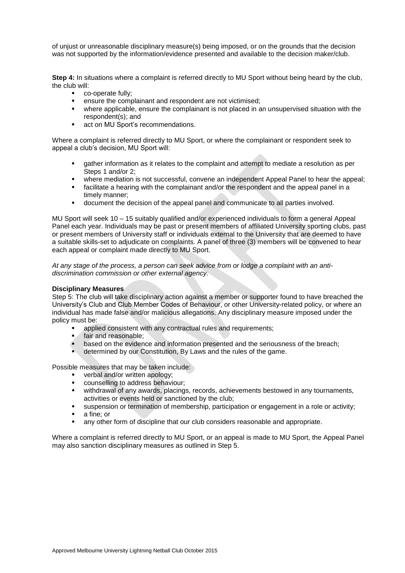of unjust or unreasonable disciplinary measure(s) being imposed, or on the grounds that the decision was not supported by the information/evidence presented and available to the decision maker/club.

**Step 4:** In situations where a complaint is referred directly to MU Sport without being heard by the club, the club will:

- **co-operate fully;**
- **EXECUTE:** ensure the complainant and respondent are not victimised;
- where applicable, ensure the complainant is not placed in an unsupervised situation with the respondent(s); and
- **act on MU Sport's recommendations.**

Where a complaint is referred directly to MU Sport, or where the complainant or respondent seek to appeal a club's decision, MU Sport will:

- gather information as it relates to the complaint and attempt to mediate a resolution as per Steps 1 and/or 2;
- where mediation is not successful, convene an independent Appeal Panel to hear the appeal;
- facilitate a hearing with the complainant and/or the respondent and the appeal panel in a timely manner;
- document the decision of the appeal panel and communicate to all parties involved.

MU Sport will seek 10 – 15 suitably qualified and/or experienced individuals to form a general Appeal Panel each year. Individuals may be past or present members of affiliated University sporting clubs, past or present members of University staff or individuals external to the University that are deemed to have a suitable skills-set to adjudicate on complaints. A panel of three (3) members will be convened to hear each appeal or complaint made directly to MU Sport.

*At any stage of the process, a person can seek advice from or lodge a complaint with an antidiscrimination commission or other external agency.*

#### **Disciplinary Measures**

Step 5: The club will take disciplinary action against a member or supporter found to have breached the University's Club and Club Member Codes of Behaviour, or other University-related policy, or where an individual has made false and/or malicious allegations. Any disciplinary measure imposed under the policy must be:

- applied consistent with any contractual rules and requirements;
- fair and reasonable;<br>based on the eviden
- based on the evidence and information presented and the seriousness of the breach;
- determined by our Constitution, By Laws and the rules of the game.

Possible measures that may be taken include:

- **•** verbal and/or written apology;
- counselling to address behaviour;
- withdrawal of any awards, placings, records, achievements bestowed in any tournaments, activities or events held or sanctioned by the club;
- suspension or termination of membership, participation or engagement in a role or activity;
- **a** fine; or
- any other form of discipline that our club considers reasonable and appropriate.

Where a complaint is referred directly to MU Sport, or an appeal is made to MU Sport, the Appeal Panel may also sanction disciplinary measures as outlined in Step 5.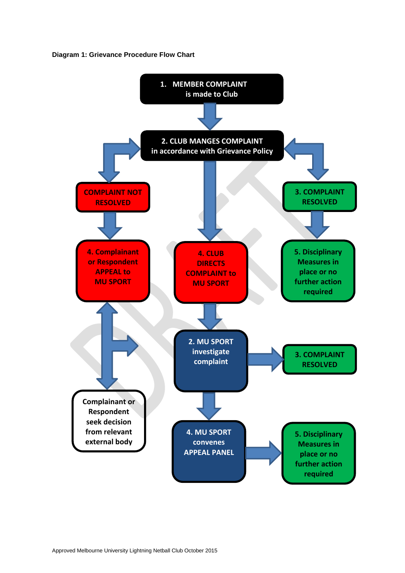**Diagram 1: Grievance Procedure Flow Chart**

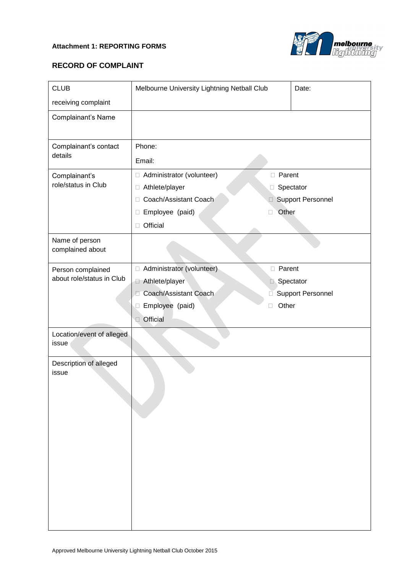### **Attachment 1: REPORTING FORMS**



## **RECORD OF COMPLAINT**

| <b>CLUB</b>                          | Melbourne University Lightning Netball Club | Date:                    |  |
|--------------------------------------|---------------------------------------------|--------------------------|--|
| receiving complaint                  |                                             |                          |  |
| Complainant's Name                   |                                             |                          |  |
| Complainant's contact<br>details     | Phone:                                      |                          |  |
|                                      | Email:                                      |                          |  |
| Complainant's<br>role/status in Club | □ Administrator (volunteer)                 | <b>D</b> Parent          |  |
|                                      | □ Athlete/player                            | □ Spectator              |  |
|                                      | Coach/Assistant Coach<br>$\Box$             | <b>Support Personnel</b> |  |
|                                      | Employee (paid)<br>П<br>u                   | Other                    |  |
|                                      | Official<br>$\Box$                          |                          |  |
| Name of person<br>complained about   |                                             |                          |  |
| Person complained                    | Administrator (volunteer)                   | <b>D</b> Parent          |  |
| about role/status in Club            | Athlete/player                              | Spectator                |  |
|                                      | Coach/Assistant Coach<br>Г                  | <b>Support Personnel</b> |  |
|                                      | Employee (paid)<br>□<br>П                   | Other                    |  |
|                                      | Official                                    |                          |  |
| Location/event of alleged<br>issue   |                                             |                          |  |
| Description of alleged<br>issue      |                                             |                          |  |